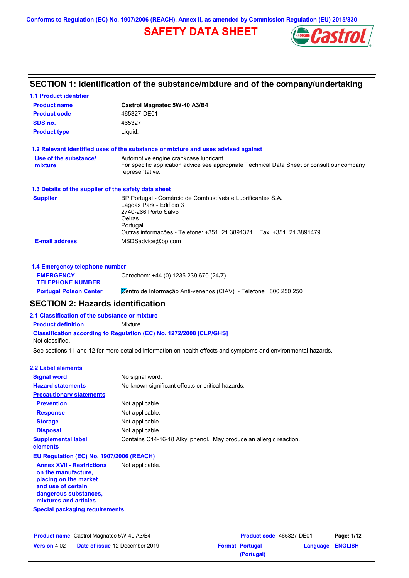**Conforms to Regulation (EC) No. 1907/2006 (REACH), Annex II, as amended by Commission Regulation (EU) 2015/830**

# **SAFETY DATA SHEET**



# **SECTION 1: Identification of the substance/mixture and of the company/undertaking**

| <b>1.1 Product identifier</b>                        |                                                                                                                                                                                                               |  |  |  |
|------------------------------------------------------|---------------------------------------------------------------------------------------------------------------------------------------------------------------------------------------------------------------|--|--|--|
| <b>Product name</b>                                  | Castrol Magnatec 5W-40 A3/B4<br>465327-DE01                                                                                                                                                                   |  |  |  |
| <b>Product code</b>                                  |                                                                                                                                                                                                               |  |  |  |
| SDS no.                                              | 465327                                                                                                                                                                                                        |  |  |  |
| <b>Product type</b>                                  | Liquid.                                                                                                                                                                                                       |  |  |  |
|                                                      | 1.2 Relevant identified uses of the substance or mixture and uses advised against                                                                                                                             |  |  |  |
| Use of the substance/<br>mixture                     | Automotive engine crankcase lubricant.<br>For specific application advice see appropriate Technical Data Sheet or consult our company<br>representative.                                                      |  |  |  |
| 1.3 Details of the supplier of the safety data sheet |                                                                                                                                                                                                               |  |  |  |
| <b>Supplier</b>                                      | BP Portugal - Comércio de Combustíveis e Lubrificantes S.A.<br>Lagoas Park - Edificio 3<br>2740-266 Porto Salvo<br>Oeiras<br>Portugal<br>Outras informações - Telefone: +351 21 3891321  Fax: +351 21 3891479 |  |  |  |
| <b>E-mail address</b>                                | MSDSadvice@bp.com                                                                                                                                                                                             |  |  |  |
| 1.4 Emergency telephone number                       |                                                                                                                                                                                                               |  |  |  |
| <b>EMERGENCY</b>                                     | Carechem: +44 (0) 1235 239 670 (24/7)                                                                                                                                                                         |  |  |  |

## **SECTION 2: Hazards identification**

**2.1 Classification of the substance or mixture**

**Product definition** Mixture

**TELEPHONE NUMBER**

**Classification according to Regulation (EC) No. 1272/2008 [CLP/GHS]** Not classified.

See sections 11 and 12 for more detailed information on health effects and symptoms and environmental hazards.

Portugal Poison Center **C**entro de Informação Anti-venenos (CIAV) - Telefone : 800 250 250

#### **2.2 Label elements**

| <b>Signal word</b>                                                                                                                                       | No signal word.                                                    |  |
|----------------------------------------------------------------------------------------------------------------------------------------------------------|--------------------------------------------------------------------|--|
| <b>Hazard statements</b>                                                                                                                                 | No known significant effects or critical hazards.                  |  |
| <b>Precautionary statements</b>                                                                                                                          |                                                                    |  |
| <b>Prevention</b>                                                                                                                                        | Not applicable.                                                    |  |
| <b>Response</b>                                                                                                                                          | Not applicable.                                                    |  |
| <b>Storage</b>                                                                                                                                           | Not applicable.                                                    |  |
| <b>Disposal</b>                                                                                                                                          | Not applicable.                                                    |  |
| <b>Supplemental label</b><br>elements                                                                                                                    | Contains C14-16-18 Alkyl phenol. May produce an allergic reaction. |  |
| EU Regulation (EC) No. 1907/2006 (REACH)                                                                                                                 |                                                                    |  |
| <b>Annex XVII - Restrictions</b><br>on the manufacture,<br>placing on the market<br>and use of certain<br>dangerous substances,<br>mixtures and articles | Not applicable.                                                    |  |
| Special packaging requirements                                                                                                                           |                                                                    |  |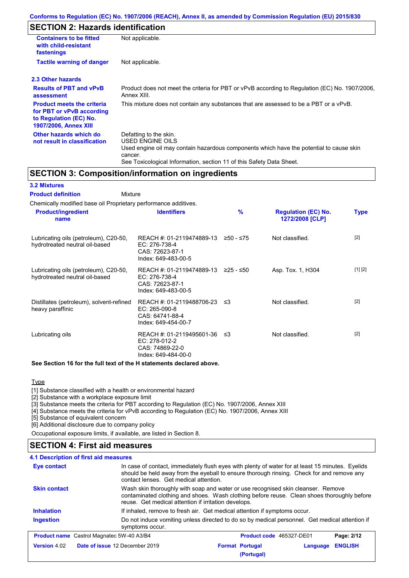# **SECTION 2: Hazards identification**

| <b>Containers to be fitted</b><br>with child-resistant<br>fastenings                                                                                                                                              | Not applicable.                                                                                                                                                                                                                 |  |  |
|-------------------------------------------------------------------------------------------------------------------------------------------------------------------------------------------------------------------|---------------------------------------------------------------------------------------------------------------------------------------------------------------------------------------------------------------------------------|--|--|
| <b>Tactile warning of danger</b>                                                                                                                                                                                  | Not applicable.                                                                                                                                                                                                                 |  |  |
| 2.3 Other hazards                                                                                                                                                                                                 |                                                                                                                                                                                                                                 |  |  |
| <b>Results of PBT and vPvB</b><br>assessment                                                                                                                                                                      | Product does not meet the criteria for PBT or vPvB according to Regulation (EC) No. 1907/2006.<br>Annex XIII.                                                                                                                   |  |  |
| <b>Product meets the criteria</b><br>This mixture does not contain any substances that are assessed to be a PBT or a vPvB.<br>for PBT or vPvB according<br>to Regulation (EC) No.<br><b>1907/2006, Annex XIII</b> |                                                                                                                                                                                                                                 |  |  |
| Other hazards which do<br>not result in classification                                                                                                                                                            | Defatting to the skin.<br><b>USED ENGINE OILS</b><br>Used engine oil may contain hazardous components which have the potential to cause skin<br>cancer.<br>See Toxicological Information, section 11 of this Safety Data Sheet. |  |  |

## **SECTION 3: Composition/information on ingredients**

**3.2 Mixtures**

Mixture **Product definition**

| Chemically modified base oil Proprietary performance additives.         |                                                                                                |               |                                               |             |
|-------------------------------------------------------------------------|------------------------------------------------------------------------------------------------|---------------|-----------------------------------------------|-------------|
| <b>Product/ingredient</b><br>name                                       | <b>Identifiers</b>                                                                             | $\frac{9}{6}$ | <b>Regulation (EC) No.</b><br>1272/2008 [CLP] | <b>Type</b> |
| Lubricating oils (petroleum), C20-50,<br>hydrotreated neutral oil-based | REACH #: 01-2119474889-13 ≥50 - ≤75<br>EC: 276-738-4<br>CAS: 72623-87-1<br>Index: 649-483-00-5 |               | Not classified.                               | $[2]$       |
| Lubricating oils (petroleum), C20-50,<br>hydrotreated neutral oil-based | REACH #: 01-2119474889-13 ≥25 - ≤50<br>EC: 276-738-4<br>CAS: 72623-87-1<br>Index: 649-483-00-5 |               | Asp. Tox. 1, H304                             | [1] [2]     |
| Distillates (petroleum), solvent-refined<br>heavy paraffinic            | REACH #: 01-2119488706-23 ≤3<br>$EC: 265-090-8$<br>CAS: 64741-88-4<br>Index: 649-454-00-7      |               | Not classified.                               | $[2]$       |
| Lubricating oils                                                        | REACH #: 01-2119495601-36 ≤3<br>EC: 278-012-2<br>CAS: 74869-22-0<br>Index: 649-484-00-0        |               | Not classified.                               | $[2]$       |
|                                                                         |                                                                                                |               |                                               |             |

### **See Section 16 for the full text of the H statements declared above.**

**Type** 

[1] Substance classified with a health or environmental hazard

[2] Substance with a workplace exposure limit

[3] Substance meets the criteria for PBT according to Regulation (EC) No. 1907/2006, Annex XIII

[4] Substance meets the criteria for vPvB according to Regulation (EC) No. 1907/2006, Annex XIII

[5] Substance of equivalent concern

[6] Additional disclosure due to company policy

Occupational exposure limits, if available, are listed in Section 8.

## **SECTION 4: First aid measures**

| 4.1 Description of first aid measures |                                                  |                                                                                                                                                                                                                                         |                            |  |  |
|---------------------------------------|--------------------------------------------------|-----------------------------------------------------------------------------------------------------------------------------------------------------------------------------------------------------------------------------------------|----------------------------|--|--|
| <b>Eye contact</b>                    |                                                  | In case of contact, immediately flush eyes with plenty of water for at least 15 minutes. Eyelids<br>should be held away from the eyeball to ensure thorough rinsing. Check for and remove any<br>contact lenses. Get medical attention. |                            |  |  |
| <b>Skin contact</b>                   |                                                  | Wash skin thoroughly with soap and water or use recognised skin cleanser. Remove<br>contaminated clothing and shoes. Wash clothing before reuse. Clean shoes thoroughly before<br>reuse. Get medical attention if irritation develops.  |                            |  |  |
| <b>Inhalation</b>                     |                                                  | If inhaled, remove to fresh air. Get medical attention if symptoms occur.                                                                                                                                                               |                            |  |  |
| <b>Ingestion</b>                      | symptoms occur.                                  | Do not induce vomiting unless directed to do so by medical personnel. Get medical attention if                                                                                                                                          |                            |  |  |
|                                       | <b>Product name</b> Castrol Magnatec 5W-40 A3/B4 | Product code 465327-DE01                                                                                                                                                                                                                | Page: 2/12                 |  |  |
| <b>Version 4.02</b>                   | Date of issue 12 December 2019                   | <b>Format Portugal</b><br>(Portugal)                                                                                                                                                                                                    | <b>ENGLISH</b><br>Language |  |  |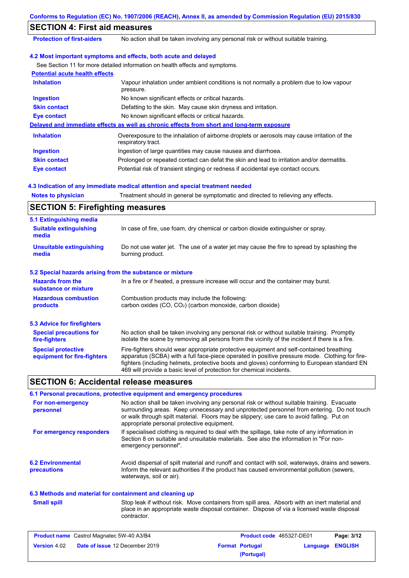|                                                                   | Conforms to Regulation (EC) No. 1907/2006 (REACH), Annex II, as amended by Commission Regulation (EU) 2015/830                                                                                                                                                                                                                                                    |
|-------------------------------------------------------------------|-------------------------------------------------------------------------------------------------------------------------------------------------------------------------------------------------------------------------------------------------------------------------------------------------------------------------------------------------------------------|
| <b>SECTION 4: First aid measures</b>                              |                                                                                                                                                                                                                                                                                                                                                                   |
| <b>Protection of first-aiders</b>                                 | No action shall be taken involving any personal risk or without suitable training.                                                                                                                                                                                                                                                                                |
|                                                                   | 4.2 Most important symptoms and effects, both acute and delayed                                                                                                                                                                                                                                                                                                   |
|                                                                   | See Section 11 for more detailed information on health effects and symptoms.                                                                                                                                                                                                                                                                                      |
| <b>Potential acute health effects</b>                             |                                                                                                                                                                                                                                                                                                                                                                   |
| <b>Inhalation</b>                                                 | Vapour inhalation under ambient conditions is not normally a problem due to low vapour<br>pressure.                                                                                                                                                                                                                                                               |
| <b>Ingestion</b>                                                  | No known significant effects or critical hazards.                                                                                                                                                                                                                                                                                                                 |
| <b>Skin contact</b>                                               | Defatting to the skin. May cause skin dryness and irritation.                                                                                                                                                                                                                                                                                                     |
| <b>Eye contact</b>                                                | No known significant effects or critical hazards.                                                                                                                                                                                                                                                                                                                 |
|                                                                   | Delayed and immediate effects as well as chronic effects from short and long-term exposure                                                                                                                                                                                                                                                                        |
| <b>Inhalation</b>                                                 | Overexposure to the inhalation of airborne droplets or aerosols may cause irritation of the<br>respiratory tract.                                                                                                                                                                                                                                                 |
| <b>Ingestion</b>                                                  | Ingestion of large quantities may cause nausea and diarrhoea.                                                                                                                                                                                                                                                                                                     |
| <b>Skin contact</b>                                               | Prolonged or repeated contact can defat the skin and lead to irritation and/or dermatitis.                                                                                                                                                                                                                                                                        |
| <b>Eye contact</b>                                                | Potential risk of transient stinging or redness if accidental eye contact occurs.                                                                                                                                                                                                                                                                                 |
|                                                                   | 4.3 Indication of any immediate medical attention and special treatment needed                                                                                                                                                                                                                                                                                    |
| <b>Notes to physician</b>                                         | Treatment should in general be symptomatic and directed to relieving any effects.                                                                                                                                                                                                                                                                                 |
| <b>SECTION 5: Firefighting measures</b>                           |                                                                                                                                                                                                                                                                                                                                                                   |
|                                                                   |                                                                                                                                                                                                                                                                                                                                                                   |
| 5.1 Extinguishing media<br><b>Suitable extinguishing</b><br>media | In case of fire, use foam, dry chemical or carbon dioxide extinguisher or spray.                                                                                                                                                                                                                                                                                  |
| <b>Unsuitable extinguishing</b><br>media                          | Do not use water jet. The use of a water jet may cause the fire to spread by splashing the<br>burning product.                                                                                                                                                                                                                                                    |
| 5.2 Special hazards arising from the substance or mixture         |                                                                                                                                                                                                                                                                                                                                                                   |
| <b>Hazards from the</b><br>substance or mixture                   | In a fire or if heated, a pressure increase will occur and the container may burst.                                                                                                                                                                                                                                                                               |
| <b>Hazardous combustion</b><br>products                           | Combustion products may include the following:<br>carbon oxides (CO, CO <sub>2</sub> ) (carbon monoxide, carbon dioxide)                                                                                                                                                                                                                                          |
|                                                                   |                                                                                                                                                                                                                                                                                                                                                                   |
| <b>5.3 Advice for firefighters</b>                                |                                                                                                                                                                                                                                                                                                                                                                   |
| <b>Special precautions for</b><br>fire-fighters                   | No action shall be taken involving any personal risk or without suitable training. Promptly<br>isolate the scene by removing all persons from the vicinity of the incident if there is a fire.                                                                                                                                                                    |
| <b>Special protective</b><br>equipment for fire-fighters          | Fire-fighters should wear appropriate protective equipment and self-contained breathing<br>apparatus (SCBA) with a full face-piece operated in positive pressure mode. Clothing for fire-<br>fighters (including helmets, protective boots and gloves) conforming to European standard EN<br>469 will provide a basic level of protection for chemical incidents. |
| <b>SECTION 6: Accidental release measures</b>                     |                                                                                                                                                                                                                                                                                                                                                                   |
|                                                                   | 6.1 Personal precautions, protective equipment and emergency procedures                                                                                                                                                                                                                                                                                           |
| For non-emergency<br>personnel                                    | No action shall be taken involving any personal risk or without suitable training. Evacuate<br>surrounding areas. Keep unnecessary and unprotected personnel from entering. Do not touch<br>or walk through spilt material. Floors may be slippery; use care to avoid falling. Put on<br>appropriate personal protective equipment.                               |
| For emergency responders                                          | If specialised clothing is required to deal with the spillage, take note of any information in<br>Section 8 on suitable and unsuitable materials. See also the information in "For non-<br>emergency personnel".                                                                                                                                                  |

**6.2 Environmental precautions** Avoid dispersal of spilt material and runoff and contact with soil, waterways, drains and sewers. Inform the relevant authorities if the product has caused environmental pollution (sewers, waterways, soil or air).

## **6.3 Methods and material for containment and cleaning up**

**Small spill**

Stop leak if without risk. Move containers from spill area. Absorb with an inert material and place in an appropriate waste disposal container. Dispose of via a licensed waste disposal contractor.

| <b>Product name</b> Castrol Magnatec 5W-40 A3/B4 |                                       | <b>Product code</b> 465327-DE01 |                        | Page: 3/12              |  |
|--------------------------------------------------|---------------------------------------|---------------------------------|------------------------|-------------------------|--|
| <b>Version 4.02</b>                              | <b>Date of issue 12 December 2019</b> |                                 | <b>Format Portugal</b> | <b>Language ENGLISH</b> |  |
|                                                  |                                       |                                 | (Portugal)             |                         |  |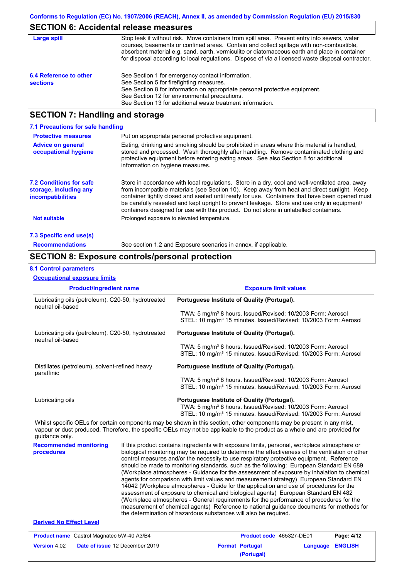## **SECTION 6: Accidental release measures**

| Large spill                               | Stop leak if without risk. Move containers from spill area. Prevent entry into sewers, water<br>courses, basements or confined areas. Contain and collect spillage with non-combustible,<br>absorbent material e.g. sand, earth, vermiculite or diatomaceous earth and place in container<br>for disposal according to local regulations. Dispose of via a licensed waste disposal contractor. |
|-------------------------------------------|------------------------------------------------------------------------------------------------------------------------------------------------------------------------------------------------------------------------------------------------------------------------------------------------------------------------------------------------------------------------------------------------|
| 6.4 Reference to other<br><b>sections</b> | See Section 1 for emergency contact information.<br>See Section 5 for firefighting measures.<br>See Section 8 for information on appropriate personal protective equipment.<br>See Section 12 for environmental precautions.<br>See Section 13 for additional waste treatment information.                                                                                                     |

## **SECTION 7: Handling and storage**

| 7.1 Precautions for safe handling                                                    |                                                                                                                                                                                                                                                                                                                                                                                                                                                                                          |
|--------------------------------------------------------------------------------------|------------------------------------------------------------------------------------------------------------------------------------------------------------------------------------------------------------------------------------------------------------------------------------------------------------------------------------------------------------------------------------------------------------------------------------------------------------------------------------------|
| <b>Protective measures</b>                                                           | Put on appropriate personal protective equipment.                                                                                                                                                                                                                                                                                                                                                                                                                                        |
| <b>Advice on general</b><br>occupational hygiene                                     | Eating, drinking and smoking should be prohibited in areas where this material is handled.<br>stored and processed. Wash thoroughly after handling. Remove contaminated clothing and<br>protective equipment before entering eating areas. See also Section 8 for additional<br>information on hygiene measures.                                                                                                                                                                         |
| <b>7.2 Conditions for safe</b><br>storage, including any<br><i>incompatibilities</i> | Store in accordance with local regulations. Store in a dry, cool and well-ventilated area, away<br>from incompatible materials (see Section 10). Keep away from heat and direct sunlight. Keep<br>container tightly closed and sealed until ready for use. Containers that have been opened must<br>be carefully resealed and kept upright to prevent leakage. Store and use only in equipment/<br>containers designed for use with this product. Do not store in unlabelled containers. |
| <b>Not suitable</b>                                                                  | Prolonged exposure to elevated temperature.                                                                                                                                                                                                                                                                                                                                                                                                                                              |
| 7.3 Specific end use(s)                                                              |                                                                                                                                                                                                                                                                                                                                                                                                                                                                                          |
| <b>Recommendations</b>                                                               | See section 1.2 and Exposure scenarios in annex, if applicable.                                                                                                                                                                                                                                                                                                                                                                                                                          |

## **SECTION 8: Exposure controls/personal protection**

### **8.1 Control parameters**

**Occupational exposure limits**

| <b>Product/ingredient name</b>                                          | <b>Exposure limit values</b>                                                                                                                                                                                                                         |
|-------------------------------------------------------------------------|------------------------------------------------------------------------------------------------------------------------------------------------------------------------------------------------------------------------------------------------------|
| Lubricating oils (petroleum), C20-50, hydrotreated<br>neutral oil-based | Portuguese Institute of Quality (Portugal).                                                                                                                                                                                                          |
|                                                                         | TWA: 5 mg/m <sup>3</sup> 8 hours. Issued/Revised: 10/2003 Form: Aerosol<br>STEL: 10 mg/m <sup>3</sup> 15 minutes. Issued/Revised: 10/2003 Form: Aerosol                                                                                              |
| Lubricating oils (petroleum), C20-50, hydrotreated<br>neutral oil-based | Portuguese Institute of Quality (Portugal).                                                                                                                                                                                                          |
|                                                                         | TWA: 5 mg/m <sup>3</sup> 8 hours. Issued/Revised: 10/2003 Form: Aerosol<br>STEL: 10 mg/m <sup>3</sup> 15 minutes. Issued/Revised: 10/2003 Form: Aerosol                                                                                              |
| Distillates (petroleum), solvent-refined heavy<br>paraffinic            | Portuguese Institute of Quality (Portugal).                                                                                                                                                                                                          |
|                                                                         | TWA: 5 mg/m <sup>3</sup> 8 hours. Issued/Revised: 10/2003 Form: Aerosol<br>STEL: 10 mg/m <sup>3</sup> 15 minutes. Issued/Revised: 10/2003 Form: Aerosol                                                                                              |
| Lubricating oils                                                        | Portuguese Institute of Quality (Portugal).<br>TWA: 5 mg/m <sup>3</sup> 8 hours. Issued/Revised: 10/2003 Form: Aerosol<br>STEL: 10 mg/m <sup>3</sup> 15 minutes. Issued/Revised: 10/2003 Form: Aerosol                                               |
| guidance only.                                                          | Whilst specific OELs for certain components may be shown in this section, other components may be present in any mist,<br>vapour or dust produced. Therefore, the specific OELs may not be applicable to the product as a whole and are provided for |
| Desamperaded markedna i                                                 | if this product contains inproducts with overcours limits, personal werkeless atmosphere or                                                                                                                                                          |

**Recommended monitoring procedures** If this product contains ingredients with exposure limits, personal, workplace atmosphere or biological monitoring may be required to determine the effectiveness of the ventilation or other control measures and/or the necessity to use respiratory protective equipment. Reference should be made to monitoring standards, such as the following: European Standard EN 689 (Workplace atmospheres - Guidance for the assessment of exposure by inhalation to chemical agents for comparison with limit values and measurement strategy) European Standard EN 14042 (Workplace atmospheres - Guide for the application and use of procedures for the assessment of exposure to chemical and biological agents) European Standard EN 482 (Workplace atmospheres - General requirements for the performance of procedures for the measurement of chemical agents) Reference to national guidance documents for methods for the determination of hazardous substances will also be required.

## **Derived No Effect Level**

| <b>Product name</b> Castrol Magnatec 5W-40 A3/B4 |                                       | <b>Product code</b> 465327-DE01 |                        | Page: 4/12       |  |
|--------------------------------------------------|---------------------------------------|---------------------------------|------------------------|------------------|--|
| <b>Version 4.02</b>                              | <b>Date of issue 12 December 2019</b> |                                 | <b>Format Portugal</b> | Language ENGLISH |  |
|                                                  |                                       |                                 | (Portugal)             |                  |  |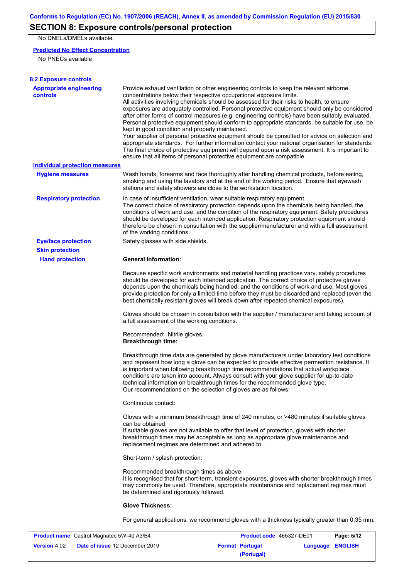# **SECTION 8: Exposure controls/personal protection**

No DNELs/DMELs available.

## **Predicted No Effect Concentration**

No PNECs available

| <b>8.2 Exposure controls</b>                      |                                                                                                                                                                                                                                                                                                                                                                                                                                                                                                                                                                                                                                                                                                                                                                                                                                                                                                                                                                                                         |
|---------------------------------------------------|---------------------------------------------------------------------------------------------------------------------------------------------------------------------------------------------------------------------------------------------------------------------------------------------------------------------------------------------------------------------------------------------------------------------------------------------------------------------------------------------------------------------------------------------------------------------------------------------------------------------------------------------------------------------------------------------------------------------------------------------------------------------------------------------------------------------------------------------------------------------------------------------------------------------------------------------------------------------------------------------------------|
| <b>Appropriate engineering</b><br><b>controls</b> | Provide exhaust ventilation or other engineering controls to keep the relevant airborne<br>concentrations below their respective occupational exposure limits.<br>All activities involving chemicals should be assessed for their risks to health, to ensure<br>exposures are adequately controlled. Personal protective equipment should only be considered<br>after other forms of control measures (e.g. engineering controls) have been suitably evaluated.<br>Personal protective equipment should conform to appropriate standards, be suitable for use, be<br>kept in good condition and properly maintained.<br>Your supplier of personal protective equipment should be consulted for advice on selection and<br>appropriate standards. For further information contact your national organisation for standards.<br>The final choice of protective equipment will depend upon a risk assessment. It is important to<br>ensure that all items of personal protective equipment are compatible. |
| <b>Individual protection measures</b>             |                                                                                                                                                                                                                                                                                                                                                                                                                                                                                                                                                                                                                                                                                                                                                                                                                                                                                                                                                                                                         |
| <b>Hygiene measures</b>                           | Wash hands, forearms and face thoroughly after handling chemical products, before eating,<br>smoking and using the lavatory and at the end of the working period. Ensure that eyewash<br>stations and safety showers are close to the workstation location.                                                                                                                                                                                                                                                                                                                                                                                                                                                                                                                                                                                                                                                                                                                                             |
| <b>Respiratory protection</b>                     | In case of insufficient ventilation, wear suitable respiratory equipment.<br>The correct choice of respiratory protection depends upon the chemicals being handled, the<br>conditions of work and use, and the condition of the respiratory equipment. Safety procedures<br>should be developed for each intended application. Respiratory protection equipment should<br>therefore be chosen in consultation with the supplier/manufacturer and with a full assessment<br>of the working conditions.                                                                                                                                                                                                                                                                                                                                                                                                                                                                                                   |
| <b>Eye/face protection</b>                        | Safety glasses with side shields.                                                                                                                                                                                                                                                                                                                                                                                                                                                                                                                                                                                                                                                                                                                                                                                                                                                                                                                                                                       |
| <b>Skin protection</b>                            |                                                                                                                                                                                                                                                                                                                                                                                                                                                                                                                                                                                                                                                                                                                                                                                                                                                                                                                                                                                                         |
| <b>Hand protection</b>                            | <b>General Information:</b>                                                                                                                                                                                                                                                                                                                                                                                                                                                                                                                                                                                                                                                                                                                                                                                                                                                                                                                                                                             |
|                                                   | Because specific work environments and material handling practices vary, safety procedures<br>should be developed for each intended application. The correct choice of protective gloves<br>depends upon the chemicals being handled, and the conditions of work and use. Most gloves<br>provide protection for only a limited time before they must be discarded and replaced (even the<br>best chemically resistant gloves will break down after repeated chemical exposures).                                                                                                                                                                                                                                                                                                                                                                                                                                                                                                                        |
|                                                   | Gloves should be chosen in consultation with the supplier / manufacturer and taking account of<br>a full assessment of the working conditions.                                                                                                                                                                                                                                                                                                                                                                                                                                                                                                                                                                                                                                                                                                                                                                                                                                                          |
|                                                   | Recommended: Nitrile gloves.<br><b>Breakthrough time:</b>                                                                                                                                                                                                                                                                                                                                                                                                                                                                                                                                                                                                                                                                                                                                                                                                                                                                                                                                               |
|                                                   | Breakthrough time data are generated by glove manufacturers under laboratory test conditions<br>and represent how long a glove can be expected to provide effective permeation resistance. It<br>is important when following breakthrough time recommendations that actual workplace<br>conditions are taken into account. Always consult with your glove supplier for up-to-date<br>technical information on breakthrough times for the recommended glove type.<br>Our recommendations on the selection of gloves are as follows:                                                                                                                                                                                                                                                                                                                                                                                                                                                                      |
|                                                   | Continuous contact:                                                                                                                                                                                                                                                                                                                                                                                                                                                                                                                                                                                                                                                                                                                                                                                                                                                                                                                                                                                     |
|                                                   | Gloves with a minimum breakthrough time of 240 minutes, or >480 minutes if suitable gloves<br>can be obtained.<br>If suitable gloves are not available to offer that level of protection, gloves with shorter<br>breakthrough times may be acceptable as long as appropriate glove maintenance and<br>replacement regimes are determined and adhered to.                                                                                                                                                                                                                                                                                                                                                                                                                                                                                                                                                                                                                                                |
|                                                   | Short-term / splash protection:                                                                                                                                                                                                                                                                                                                                                                                                                                                                                                                                                                                                                                                                                                                                                                                                                                                                                                                                                                         |
|                                                   | Recommended breakthrough times as above.<br>It is recognised that for short-term, transient exposures, gloves with shorter breakthrough times<br>may commonly be used. Therefore, appropriate maintenance and replacement regimes must<br>be determined and rigorously followed.                                                                                                                                                                                                                                                                                                                                                                                                                                                                                                                                                                                                                                                                                                                        |
|                                                   | <b>Glove Thickness:</b>                                                                                                                                                                                                                                                                                                                                                                                                                                                                                                                                                                                                                                                                                                                                                                                                                                                                                                                                                                                 |
|                                                   | For general applications, we recommend gloves with a thickness typically greater than 0.35 mm.                                                                                                                                                                                                                                                                                                                                                                                                                                                                                                                                                                                                                                                                                                                                                                                                                                                                                                          |

| <b>Product name</b> Castrol Magnatec 5W-40 A3/B4 |                                       | <b>Product code</b> 465327-DE01 |                        | Page: 5/12              |  |
|--------------------------------------------------|---------------------------------------|---------------------------------|------------------------|-------------------------|--|
| <b>Version 4.02</b>                              | <b>Date of issue 12 December 2019</b> |                                 | <b>Format Portugal</b> | <b>Language ENGLISH</b> |  |
|                                                  |                                       |                                 | (Portugal)             |                         |  |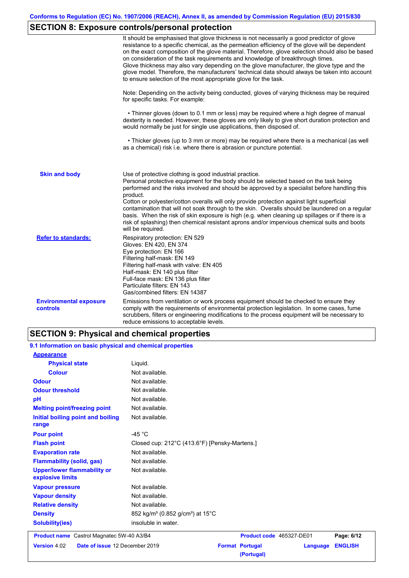# **SECTION 8: Exposure controls/personal protection**

|                                                  | It should be emphasised that glove thickness is not necessarily a good predictor of glove<br>resistance to a specific chemical, as the permeation efficiency of the glove will be dependent<br>on the exact composition of the glove material. Therefore, glove selection should also be based<br>on consideration of the task requirements and knowledge of breakthrough times.<br>Glove thickness may also vary depending on the glove manufacturer, the glove type and the<br>glove model. Therefore, the manufacturers' technical data should always be taken into account<br>to ensure selection of the most appropriate glove for the task.                                     |
|--------------------------------------------------|---------------------------------------------------------------------------------------------------------------------------------------------------------------------------------------------------------------------------------------------------------------------------------------------------------------------------------------------------------------------------------------------------------------------------------------------------------------------------------------------------------------------------------------------------------------------------------------------------------------------------------------------------------------------------------------|
|                                                  | Note: Depending on the activity being conducted, gloves of varying thickness may be required<br>for specific tasks. For example:                                                                                                                                                                                                                                                                                                                                                                                                                                                                                                                                                      |
|                                                  | • Thinner gloves (down to 0.1 mm or less) may be required where a high degree of manual<br>dexterity is needed. However, these gloves are only likely to give short duration protection and<br>would normally be just for single use applications, then disposed of.                                                                                                                                                                                                                                                                                                                                                                                                                  |
|                                                  | • Thicker gloves (up to 3 mm or more) may be required where there is a mechanical (as well<br>as a chemical) risk i.e. where there is abrasion or puncture potential.                                                                                                                                                                                                                                                                                                                                                                                                                                                                                                                 |
| <b>Skin and body</b>                             | Use of protective clothing is good industrial practice.<br>Personal protective equipment for the body should be selected based on the task being<br>performed and the risks involved and should be approved by a specialist before handling this<br>product.<br>Cotton or polyester/cotton overalls will only provide protection against light superficial<br>contamination that will not soak through to the skin. Overalls should be laundered on a regular<br>basis. When the risk of skin exposure is high (e.g. when cleaning up spillages or if there is a<br>risk of splashing) then chemical resistant aprons and/or impervious chemical suits and boots<br>will be required. |
| <b>Refer to standards:</b>                       | Respiratory protection: EN 529<br>Gloves: EN 420, EN 374<br>Eye protection: EN 166<br>Filtering half-mask: EN 149<br>Filtering half-mask with valve: EN 405<br>Half-mask: EN 140 plus filter<br>Full-face mask: EN 136 plus filter<br>Particulate filters: EN 143<br>Gas/combined filters: EN 14387                                                                                                                                                                                                                                                                                                                                                                                   |
| <b>Environmental exposure</b><br><b>controls</b> | Emissions from ventilation or work process equipment should be checked to ensure they<br>comply with the requirements of environmental protection legislation. In some cases, fume<br>scrubbers, filters or engineering modifications to the process equipment will be necessary to<br>reduce emissions to acceptable levels.                                                                                                                                                                                                                                                                                                                                                         |

# **SECTION 9: Physical and chemical properties**

| 9.1 Information on basic physical and chemical properties |                                                                    |
|-----------------------------------------------------------|--------------------------------------------------------------------|
| <b>Appearance</b>                                         |                                                                    |
| <b>Physical state</b>                                     | Liquid.                                                            |
| <b>Colour</b>                                             | Not available.                                                     |
| <b>Odour</b>                                              | Not available.                                                     |
| <b>Odour threshold</b>                                    | Not available.                                                     |
| pH                                                        | Not available.                                                     |
| <b>Melting point/freezing point</b>                       | Not available.                                                     |
| Initial boiling point and boiling<br>range                | Not available.                                                     |
| <b>Pour point</b>                                         | -45 $^{\circ}$ C                                                   |
| <b>Flash point</b>                                        | Closed cup: 212°C (413.6°F) [Pensky-Martens.]                      |
| <b>Evaporation rate</b>                                   | Not available.                                                     |
| <b>Flammability (solid, gas)</b>                          | Not available.                                                     |
| <b>Upper/lower flammability or</b><br>explosive limits    | Not available.                                                     |
| <b>Vapour pressure</b>                                    | Not available.                                                     |
| <b>Vapour density</b>                                     | Not available.                                                     |
| <b>Relative density</b>                                   | Not available.                                                     |
| <b>Density</b>                                            | 852 kg/m <sup>3</sup> (0.852 g/cm <sup>3</sup> ) at 15°C           |
| <b>Solubility(ies)</b>                                    | insoluble in water.                                                |
| <b>Product name</b> Castrol Magnatec 5W-40 A3/B4          | Product code 465327-DE01<br>Page: 6/12                             |
| Date of issue 12 December 2019<br><b>Version 4.02</b>     | <b>ENGLISH</b><br><b>Format Portugal</b><br>Language<br>(Portugal) |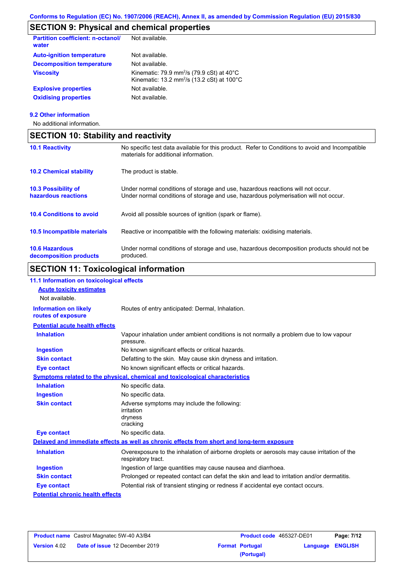# **SECTION 9: Physical and chemical properties**

| <b>Partition coefficient: n-octanol/</b><br>water | Not available.                                                                                                                      |
|---------------------------------------------------|-------------------------------------------------------------------------------------------------------------------------------------|
| <b>Auto-ignition temperature</b>                  | Not available.                                                                                                                      |
| <b>Decomposition temperature</b>                  | Not available.                                                                                                                      |
| <b>Viscosity</b>                                  | Kinematic: 79.9 mm <sup>2</sup> /s (79.9 cSt) at $40^{\circ}$ C<br>Kinematic: 13.2 mm <sup>2</sup> /s (13.2 cSt) at $100^{\circ}$ C |
| <b>Explosive properties</b>                       | Not available.                                                                                                                      |
| <b>Oxidising properties</b>                       | Not available.                                                                                                                      |
|                                                   |                                                                                                                                     |

### **9.2 Other information**

No additional information.

| <b>SECTION 10: Stability and reactivity</b>       |                                                                                                                                                                         |  |  |  |
|---------------------------------------------------|-------------------------------------------------------------------------------------------------------------------------------------------------------------------------|--|--|--|
| <b>10.1 Reactivity</b>                            | No specific test data available for this product. Refer to Conditions to avoid and Incompatible<br>materials for additional information.                                |  |  |  |
| <b>10.2 Chemical stability</b>                    | The product is stable.                                                                                                                                                  |  |  |  |
| <b>10.3 Possibility of</b><br>hazardous reactions | Under normal conditions of storage and use, hazardous reactions will not occur.<br>Under normal conditions of storage and use, hazardous polymerisation will not occur. |  |  |  |
| <b>10.4 Conditions to avoid</b>                   | Avoid all possible sources of ignition (spark or flame).                                                                                                                |  |  |  |
| 10.5 Incompatible materials                       | Reactive or incompatible with the following materials: oxidising materials.                                                                                             |  |  |  |
| <b>10.6 Hazardous</b><br>decomposition products   | Under normal conditions of storage and use, hazardous decomposition products should not be<br>produced.                                                                 |  |  |  |

# **SECTION 11: Toxicological information**

| 11.1 Information on toxicological effects          |                                                                                                                   |
|----------------------------------------------------|-------------------------------------------------------------------------------------------------------------------|
| <b>Acute toxicity estimates</b>                    |                                                                                                                   |
| Not available.                                     |                                                                                                                   |
| <b>Information on likely</b><br>routes of exposure | Routes of entry anticipated: Dermal, Inhalation.                                                                  |
| <b>Potential acute health effects</b>              |                                                                                                                   |
| <b>Inhalation</b>                                  | Vapour inhalation under ambient conditions is not normally a problem due to low vapour<br>pressure.               |
| <b>Ingestion</b>                                   | No known significant effects or critical hazards.                                                                 |
| <b>Skin contact</b>                                | Defatting to the skin. May cause skin dryness and irritation.                                                     |
| <b>Eye contact</b>                                 | No known significant effects or critical hazards.                                                                 |
|                                                    | <b>Symptoms related to the physical, chemical and toxicological characteristics</b>                               |
| <b>Inhalation</b>                                  | No specific data.                                                                                                 |
| <b>Ingestion</b>                                   | No specific data.                                                                                                 |
| <b>Skin contact</b>                                | Adverse symptoms may include the following:<br>irritation<br>dryness<br>cracking                                  |
| <b>Eye contact</b>                                 | No specific data.                                                                                                 |
|                                                    | Delayed and immediate effects as well as chronic effects from short and long-term exposure                        |
| <b>Inhalation</b>                                  | Overexposure to the inhalation of airborne droplets or aerosols may cause irritation of the<br>respiratory tract. |
| <b>Ingestion</b>                                   | Ingestion of large quantities may cause nausea and diarrhoea.                                                     |
| <b>Skin contact</b>                                | Prolonged or repeated contact can defat the skin and lead to irritation and/or dermatitis.                        |
| <b>Eye contact</b>                                 | Potential risk of transient stinging or redness if accidental eye contact occurs.                                 |
| <b>Potential chronic health effects</b>            |                                                                                                                   |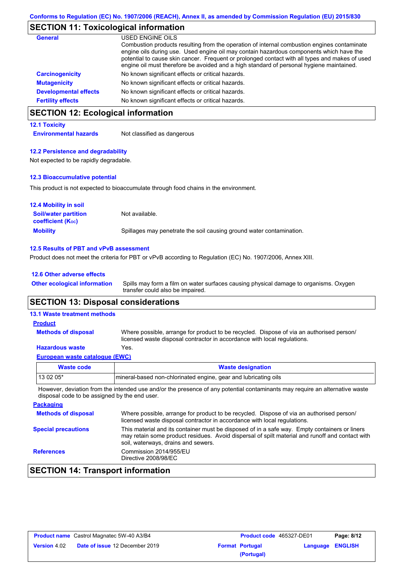# **SECTION 11: Toxicological information**

| General                      | USED ENGINE OILS<br>Combustion products resulting from the operation of internal combustion engines contaminate<br>engine oils during use. Used engine oil may contain hazardous components which have the<br>potential to cause skin cancer. Frequent or prolonged contact with all types and makes of used<br>engine oil must therefore be avoided and a high standard of personal hygiene maintained. |
|------------------------------|----------------------------------------------------------------------------------------------------------------------------------------------------------------------------------------------------------------------------------------------------------------------------------------------------------------------------------------------------------------------------------------------------------|
| <b>Carcinogenicity</b>       | No known significant effects or critical hazards.                                                                                                                                                                                                                                                                                                                                                        |
| <b>Mutagenicity</b>          | No known significant effects or critical hazards.                                                                                                                                                                                                                                                                                                                                                        |
| <b>Developmental effects</b> | No known significant effects or critical hazards.                                                                                                                                                                                                                                                                                                                                                        |
| <b>Fertility effects</b>     | No known significant effects or critical hazards.                                                                                                                                                                                                                                                                                                                                                        |

## **SECTION 12: Ecological information**

### **12.1 Toxicity**

**Environmental hazards** Not classified as dangerous

### **12.2 Persistence and degradability**

Not expected to be rapidly degradable.

## **12.3 Bioaccumulative potential**

This product is not expected to bioaccumulate through food chains in the environment.

| <b>12.4 Mobility in soil</b>                                  |                                                                      |
|---------------------------------------------------------------|----------------------------------------------------------------------|
| <b>Soil/water partition</b><br>coefficient (K <sub>oc</sub> ) | Not available.                                                       |
| <b>Mobility</b>                                               | Spillages may penetrate the soil causing ground water contamination. |

#### **12.5 Results of PBT and vPvB assessment**

Product does not meet the criteria for PBT or vPvB according to Regulation (EC) No. 1907/2006, Annex XIII.

| 12.6 Other adverse effects          |                                                                                                                           |
|-------------------------------------|---------------------------------------------------------------------------------------------------------------------------|
| <b>Other ecological information</b> | Spills may form a film on water surfaces causing physical damage to organisms. Oxygen<br>transfer could also be impaired. |
|                                     |                                                                                                                           |

## **SECTION 13: Disposal considerations**

#### Where possible, arrange for product to be recycled. Dispose of via an authorised person/ licensed waste disposal contractor in accordance with local regulations. **Methods of disposal 13.1 Waste treatment methods Product**

### **Hazardous waste** Yes.

| European waste catalogue (EWC) |                                                                  |  |
|--------------------------------|------------------------------------------------------------------|--|
| Waste code                     | <b>Waste designation</b>                                         |  |
| 13 02 05*                      | Imineral-based non-chlorinated engine, gear and lubricating oils |  |

However, deviation from the intended use and/or the presence of any potential contaminants may require an alternative waste disposal code to be assigned by the end user.

| <b>Methods of disposal</b>                                                                                                                                                                                                                                            | Where possible, arrange for product to be recycled. Dispose of via an authorised person/ |
|-----------------------------------------------------------------------------------------------------------------------------------------------------------------------------------------------------------------------------------------------------------------------|------------------------------------------------------------------------------------------|
| licensed waste disposal contractor in accordance with local regulations.                                                                                                                                                                                              |                                                                                          |
| This material and its container must be disposed of in a safe way. Empty containers or liners<br><b>Special precautions</b><br>may retain some product residues. Avoid dispersal of spilt material and runoff and contact with<br>soil, waterways, drains and sewers. |                                                                                          |
| Commission 2014/955/EU<br><b>References</b><br>Directive 2008/98/EC                                                                                                                                                                                                   |                                                                                          |

## **SECTION 14: Transport information**

| <b>Product name</b> Castrol Magnatec 5W-40 A3/B4 |                                       | <b>Product code</b> 465327-DE01 |                        | Page: 8/12       |  |
|--------------------------------------------------|---------------------------------------|---------------------------------|------------------------|------------------|--|
| <b>Version</b> 4.02                              | <b>Date of issue 12 December 2019</b> |                                 | <b>Format Portugal</b> | Language ENGLISH |  |
|                                                  |                                       |                                 | (Portugal)             |                  |  |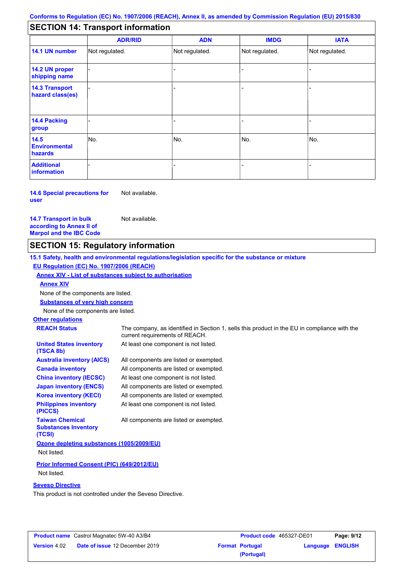## **SECTION 14: Transport information**

|                                           | <b>ADR/RID</b> | <b>ADN</b>     | <b>IMDG</b>    | <b>IATA</b>    |
|-------------------------------------------|----------------|----------------|----------------|----------------|
| 14.1 UN number                            | Not regulated. | Not regulated. | Not regulated. | Not regulated. |
| 14.2 UN proper<br>shipping name           |                |                |                |                |
| <b>14.3 Transport</b><br>hazard class(es) |                |                |                |                |
| 14.4 Packing<br>group                     |                |                |                |                |
| 14.5<br><b>Environmental</b><br>hazards   | No.            | No.            | No.            | No.            |
| <b>Additional</b><br>information          |                |                |                |                |

**14.6 Special precautions for user** Not available.

**14.7 Transport in bulk according to Annex II of Marpol and the IBC Code**

## **SECTION 15: Regulatory information**

Not available.

**Other regulations REACH Status** The company, as identified in Section 1, sells this product in the EU in compliance with the current requirements of REACH. **15.1 Safety, health and environmental regulations/legislation specific for the substance or mixture EU Regulation (EC) No. 1907/2006 (REACH) Annex XIV - List of substances subject to authorisation Substances of very high concern** None of the components are listed. All components are listed or exempted. All components are listed or exempted. At least one component is not listed. All components are listed or exempted. At least one component is not listed. All components are listed or exempted. At least one component is not listed. **United States inventory (TSCA 8b) Australia inventory (AICS) Canada inventory China inventory (IECSC) Japan inventory (ENCS) Korea inventory (KECI) Philippines inventory (PICCS) Taiwan Chemical**  All components are listed or exempted. None of the components are listed. **Annex XIV**

**Substances Inventory (TCSI)**

**Ozone depleting substances (1005/2009/EU)**

Not listed.

**Prior Informed Consent (PIC) (649/2012/EU)** Not listed.

### **Seveso Directive**

This product is not controlled under the Seveso Directive.

| <b>Product name</b> Castrol Magnatec 5W-40 A3/B4 |                                       | <b>Product code</b> 465327-DE01 |                        | Page: 9/12              |  |
|--------------------------------------------------|---------------------------------------|---------------------------------|------------------------|-------------------------|--|
| <b>Version 4.02</b>                              | <b>Date of issue 12 December 2019</b> |                                 | <b>Format Portugal</b> | <b>Language ENGLISH</b> |  |
|                                                  |                                       |                                 | (Portugal)             |                         |  |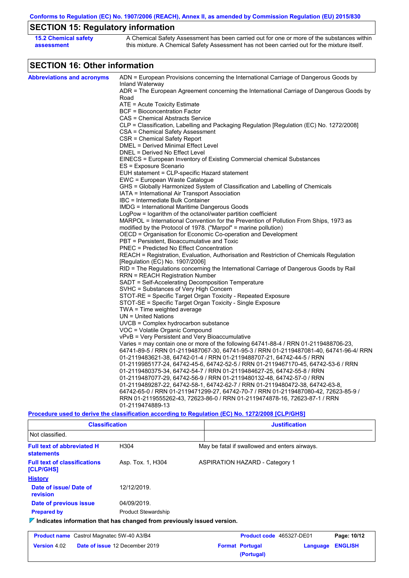**Conforms to Regulation (EC) No. 1907/2006 (REACH), Annex II, as amended by Commission Regulation (EU) 2015/830**

# **SECTION 15: Regulatory information**

| <b>15.2 Chemical safety</b> | A Chemical Safety Assessment has been carried out for one or more of the substances within  |
|-----------------------------|---------------------------------------------------------------------------------------------|
| assessment                  | this mixture. A Chemical Safety Assessment has not been carried out for the mixture itself. |

# **SECTION 16: Other information**

| ADN = European Provisions concerning the International Carriage of Dangerous Goods by<br>Inland Waterway<br>ADR = The European Agreement concerning the International Carriage of Dangerous Goods by<br>Road<br>ATE = Acute Toxicity Estimate<br><b>BCF</b> = Bioconcentration Factor<br>CAS = Chemical Abstracts Service<br>CLP = Classification, Labelling and Packaging Regulation [Regulation (EC) No. 1272/2008]<br>CSA = Chemical Safety Assessment<br>CSR = Chemical Safety Report<br>DMEL = Derived Minimal Effect Level<br>DNEL = Derived No Effect Level<br>EINECS = European Inventory of Existing Commercial chemical Substances<br>ES = Exposure Scenario<br>EUH statement = CLP-specific Hazard statement<br>EWC = European Waste Catalogue<br>GHS = Globally Harmonized System of Classification and Labelling of Chemicals<br>IATA = International Air Transport Association<br>IBC = Intermediate Bulk Container<br>IMDG = International Maritime Dangerous Goods<br>LogPow = logarithm of the octanol/water partition coefficient<br>MARPOL = International Convention for the Prevention of Pollution From Ships, 1973 as<br>modified by the Protocol of 1978. ("Marpol" = marine pollution)<br>OECD = Organisation for Economic Co-operation and Development<br>PBT = Persistent, Bioaccumulative and Toxic<br>PNEC = Predicted No Effect Concentration<br>REACH = Registration, Evaluation, Authorisation and Restriction of Chemicals Regulation<br>[Regulation (EC) No. 1907/2006]<br>RID = The Regulations concerning the International Carriage of Dangerous Goods by Rail<br><b>RRN = REACH Registration Number</b><br>SADT = Self-Accelerating Decomposition Temperature<br>SVHC = Substances of Very High Concern<br>STOT-RE = Specific Target Organ Toxicity - Repeated Exposure<br>STOT-SE = Specific Target Organ Toxicity - Single Exposure<br>TWA = Time weighted average<br>$UN = United Nations$<br>$UVCB = Complex\;hydrocarbon\; substance$<br>VOC = Volatile Organic Compound<br>vPvB = Very Persistent and Very Bioaccumulative<br>Varies = may contain one or more of the following 64741-88-4 / RRN 01-2119488706-23,<br>64741-89-5 / RRN 01-2119487067-30, 64741-95-3 / RRN 01-2119487081-40, 64741-96-4/ RRN<br>01-2119483621-38, 64742-01-4 / RRN 01-2119488707-21, 64742-44-5 / RRN<br>01-2119985177-24, 64742-45-6, 64742-52-5 / RRN 01-2119467170-45, 64742-53-6 / RRN<br>01-2119480375-34, 64742-54-7 / RRN 01-2119484627-25, 64742-55-8 / RRN<br>01-2119487077-29, 64742-56-9 / RRN 01-2119480132-48, 64742-57-0 / RRN<br>01-2119489287-22, 64742-58-1, 64742-62-7 / RRN 01-2119480472-38, 64742-63-8,<br>64742-65-0 / RRN 01-2119471299-27, 64742-70-7 / RRN 01-2119487080-42, 72623-85-9 /<br>RRN 01-2119555262-43, 72623-86-0 / RRN 01-2119474878-16, 72623-87-1 / RRN<br>01-2119474889-13<br>Procedure used to derive the classification according to Regulation (EC) No. 1272/2008 [CLP/GHS] |                                   |  |
|----------------------------------------------------------------------------------------------------------------------------------------------------------------------------------------------------------------------------------------------------------------------------------------------------------------------------------------------------------------------------------------------------------------------------------------------------------------------------------------------------------------------------------------------------------------------------------------------------------------------------------------------------------------------------------------------------------------------------------------------------------------------------------------------------------------------------------------------------------------------------------------------------------------------------------------------------------------------------------------------------------------------------------------------------------------------------------------------------------------------------------------------------------------------------------------------------------------------------------------------------------------------------------------------------------------------------------------------------------------------------------------------------------------------------------------------------------------------------------------------------------------------------------------------------------------------------------------------------------------------------------------------------------------------------------------------------------------------------------------------------------------------------------------------------------------------------------------------------------------------------------------------------------------------------------------------------------------------------------------------------------------------------------------------------------------------------------------------------------------------------------------------------------------------------------------------------------------------------------------------------------------------------------------------------------------------------------------------------------------------------------------------------------------------------------------------------------------------------------------------------------------------------------------------------------------------------------------------------------------------------------------------------------------------------------------------------------------------------------------------------------------------------------------------------------------------------------------------------------------------------------------------------------------------------------------------------|-----------------------------------|--|
|                                                                                                                                                                                                                                                                                                                                                                                                                                                                                                                                                                                                                                                                                                                                                                                                                                                                                                                                                                                                                                                                                                                                                                                                                                                                                                                                                                                                                                                                                                                                                                                                                                                                                                                                                                                                                                                                                                                                                                                                                                                                                                                                                                                                                                                                                                                                                                                                                                                                                                                                                                                                                                                                                                                                                                                                                                                                                                                                                    | <b>Abbreviations and acronyms</b> |  |
|                                                                                                                                                                                                                                                                                                                                                                                                                                                                                                                                                                                                                                                                                                                                                                                                                                                                                                                                                                                                                                                                                                                                                                                                                                                                                                                                                                                                                                                                                                                                                                                                                                                                                                                                                                                                                                                                                                                                                                                                                                                                                                                                                                                                                                                                                                                                                                                                                                                                                                                                                                                                                                                                                                                                                                                                                                                                                                                                                    |                                   |  |
|                                                                                                                                                                                                                                                                                                                                                                                                                                                                                                                                                                                                                                                                                                                                                                                                                                                                                                                                                                                                                                                                                                                                                                                                                                                                                                                                                                                                                                                                                                                                                                                                                                                                                                                                                                                                                                                                                                                                                                                                                                                                                                                                                                                                                                                                                                                                                                                                                                                                                                                                                                                                                                                                                                                                                                                                                                                                                                                                                    |                                   |  |
|                                                                                                                                                                                                                                                                                                                                                                                                                                                                                                                                                                                                                                                                                                                                                                                                                                                                                                                                                                                                                                                                                                                                                                                                                                                                                                                                                                                                                                                                                                                                                                                                                                                                                                                                                                                                                                                                                                                                                                                                                                                                                                                                                                                                                                                                                                                                                                                                                                                                                                                                                                                                                                                                                                                                                                                                                                                                                                                                                    |                                   |  |
|                                                                                                                                                                                                                                                                                                                                                                                                                                                                                                                                                                                                                                                                                                                                                                                                                                                                                                                                                                                                                                                                                                                                                                                                                                                                                                                                                                                                                                                                                                                                                                                                                                                                                                                                                                                                                                                                                                                                                                                                                                                                                                                                                                                                                                                                                                                                                                                                                                                                                                                                                                                                                                                                                                                                                                                                                                                                                                                                                    |                                   |  |
|                                                                                                                                                                                                                                                                                                                                                                                                                                                                                                                                                                                                                                                                                                                                                                                                                                                                                                                                                                                                                                                                                                                                                                                                                                                                                                                                                                                                                                                                                                                                                                                                                                                                                                                                                                                                                                                                                                                                                                                                                                                                                                                                                                                                                                                                                                                                                                                                                                                                                                                                                                                                                                                                                                                                                                                                                                                                                                                                                    |                                   |  |
|                                                                                                                                                                                                                                                                                                                                                                                                                                                                                                                                                                                                                                                                                                                                                                                                                                                                                                                                                                                                                                                                                                                                                                                                                                                                                                                                                                                                                                                                                                                                                                                                                                                                                                                                                                                                                                                                                                                                                                                                                                                                                                                                                                                                                                                                                                                                                                                                                                                                                                                                                                                                                                                                                                                                                                                                                                                                                                                                                    |                                   |  |
|                                                                                                                                                                                                                                                                                                                                                                                                                                                                                                                                                                                                                                                                                                                                                                                                                                                                                                                                                                                                                                                                                                                                                                                                                                                                                                                                                                                                                                                                                                                                                                                                                                                                                                                                                                                                                                                                                                                                                                                                                                                                                                                                                                                                                                                                                                                                                                                                                                                                                                                                                                                                                                                                                                                                                                                                                                                                                                                                                    |                                   |  |
|                                                                                                                                                                                                                                                                                                                                                                                                                                                                                                                                                                                                                                                                                                                                                                                                                                                                                                                                                                                                                                                                                                                                                                                                                                                                                                                                                                                                                                                                                                                                                                                                                                                                                                                                                                                                                                                                                                                                                                                                                                                                                                                                                                                                                                                                                                                                                                                                                                                                                                                                                                                                                                                                                                                                                                                                                                                                                                                                                    |                                   |  |
|                                                                                                                                                                                                                                                                                                                                                                                                                                                                                                                                                                                                                                                                                                                                                                                                                                                                                                                                                                                                                                                                                                                                                                                                                                                                                                                                                                                                                                                                                                                                                                                                                                                                                                                                                                                                                                                                                                                                                                                                                                                                                                                                                                                                                                                                                                                                                                                                                                                                                                                                                                                                                                                                                                                                                                                                                                                                                                                                                    |                                   |  |
|                                                                                                                                                                                                                                                                                                                                                                                                                                                                                                                                                                                                                                                                                                                                                                                                                                                                                                                                                                                                                                                                                                                                                                                                                                                                                                                                                                                                                                                                                                                                                                                                                                                                                                                                                                                                                                                                                                                                                                                                                                                                                                                                                                                                                                                                                                                                                                                                                                                                                                                                                                                                                                                                                                                                                                                                                                                                                                                                                    |                                   |  |
|                                                                                                                                                                                                                                                                                                                                                                                                                                                                                                                                                                                                                                                                                                                                                                                                                                                                                                                                                                                                                                                                                                                                                                                                                                                                                                                                                                                                                                                                                                                                                                                                                                                                                                                                                                                                                                                                                                                                                                                                                                                                                                                                                                                                                                                                                                                                                                                                                                                                                                                                                                                                                                                                                                                                                                                                                                                                                                                                                    |                                   |  |
|                                                                                                                                                                                                                                                                                                                                                                                                                                                                                                                                                                                                                                                                                                                                                                                                                                                                                                                                                                                                                                                                                                                                                                                                                                                                                                                                                                                                                                                                                                                                                                                                                                                                                                                                                                                                                                                                                                                                                                                                                                                                                                                                                                                                                                                                                                                                                                                                                                                                                                                                                                                                                                                                                                                                                                                                                                                                                                                                                    |                                   |  |
|                                                                                                                                                                                                                                                                                                                                                                                                                                                                                                                                                                                                                                                                                                                                                                                                                                                                                                                                                                                                                                                                                                                                                                                                                                                                                                                                                                                                                                                                                                                                                                                                                                                                                                                                                                                                                                                                                                                                                                                                                                                                                                                                                                                                                                                                                                                                                                                                                                                                                                                                                                                                                                                                                                                                                                                                                                                                                                                                                    |                                   |  |
|                                                                                                                                                                                                                                                                                                                                                                                                                                                                                                                                                                                                                                                                                                                                                                                                                                                                                                                                                                                                                                                                                                                                                                                                                                                                                                                                                                                                                                                                                                                                                                                                                                                                                                                                                                                                                                                                                                                                                                                                                                                                                                                                                                                                                                                                                                                                                                                                                                                                                                                                                                                                                                                                                                                                                                                                                                                                                                                                                    |                                   |  |
|                                                                                                                                                                                                                                                                                                                                                                                                                                                                                                                                                                                                                                                                                                                                                                                                                                                                                                                                                                                                                                                                                                                                                                                                                                                                                                                                                                                                                                                                                                                                                                                                                                                                                                                                                                                                                                                                                                                                                                                                                                                                                                                                                                                                                                                                                                                                                                                                                                                                                                                                                                                                                                                                                                                                                                                                                                                                                                                                                    |                                   |  |
|                                                                                                                                                                                                                                                                                                                                                                                                                                                                                                                                                                                                                                                                                                                                                                                                                                                                                                                                                                                                                                                                                                                                                                                                                                                                                                                                                                                                                                                                                                                                                                                                                                                                                                                                                                                                                                                                                                                                                                                                                                                                                                                                                                                                                                                                                                                                                                                                                                                                                                                                                                                                                                                                                                                                                                                                                                                                                                                                                    |                                   |  |
|                                                                                                                                                                                                                                                                                                                                                                                                                                                                                                                                                                                                                                                                                                                                                                                                                                                                                                                                                                                                                                                                                                                                                                                                                                                                                                                                                                                                                                                                                                                                                                                                                                                                                                                                                                                                                                                                                                                                                                                                                                                                                                                                                                                                                                                                                                                                                                                                                                                                                                                                                                                                                                                                                                                                                                                                                                                                                                                                                    |                                   |  |
|                                                                                                                                                                                                                                                                                                                                                                                                                                                                                                                                                                                                                                                                                                                                                                                                                                                                                                                                                                                                                                                                                                                                                                                                                                                                                                                                                                                                                                                                                                                                                                                                                                                                                                                                                                                                                                                                                                                                                                                                                                                                                                                                                                                                                                                                                                                                                                                                                                                                                                                                                                                                                                                                                                                                                                                                                                                                                                                                                    |                                   |  |
|                                                                                                                                                                                                                                                                                                                                                                                                                                                                                                                                                                                                                                                                                                                                                                                                                                                                                                                                                                                                                                                                                                                                                                                                                                                                                                                                                                                                                                                                                                                                                                                                                                                                                                                                                                                                                                                                                                                                                                                                                                                                                                                                                                                                                                                                                                                                                                                                                                                                                                                                                                                                                                                                                                                                                                                                                                                                                                                                                    |                                   |  |
|                                                                                                                                                                                                                                                                                                                                                                                                                                                                                                                                                                                                                                                                                                                                                                                                                                                                                                                                                                                                                                                                                                                                                                                                                                                                                                                                                                                                                                                                                                                                                                                                                                                                                                                                                                                                                                                                                                                                                                                                                                                                                                                                                                                                                                                                                                                                                                                                                                                                                                                                                                                                                                                                                                                                                                                                                                                                                                                                                    |                                   |  |
|                                                                                                                                                                                                                                                                                                                                                                                                                                                                                                                                                                                                                                                                                                                                                                                                                                                                                                                                                                                                                                                                                                                                                                                                                                                                                                                                                                                                                                                                                                                                                                                                                                                                                                                                                                                                                                                                                                                                                                                                                                                                                                                                                                                                                                                                                                                                                                                                                                                                                                                                                                                                                                                                                                                                                                                                                                                                                                                                                    |                                   |  |
|                                                                                                                                                                                                                                                                                                                                                                                                                                                                                                                                                                                                                                                                                                                                                                                                                                                                                                                                                                                                                                                                                                                                                                                                                                                                                                                                                                                                                                                                                                                                                                                                                                                                                                                                                                                                                                                                                                                                                                                                                                                                                                                                                                                                                                                                                                                                                                                                                                                                                                                                                                                                                                                                                                                                                                                                                                                                                                                                                    |                                   |  |
|                                                                                                                                                                                                                                                                                                                                                                                                                                                                                                                                                                                                                                                                                                                                                                                                                                                                                                                                                                                                                                                                                                                                                                                                                                                                                                                                                                                                                                                                                                                                                                                                                                                                                                                                                                                                                                                                                                                                                                                                                                                                                                                                                                                                                                                                                                                                                                                                                                                                                                                                                                                                                                                                                                                                                                                                                                                                                                                                                    |                                   |  |
|                                                                                                                                                                                                                                                                                                                                                                                                                                                                                                                                                                                                                                                                                                                                                                                                                                                                                                                                                                                                                                                                                                                                                                                                                                                                                                                                                                                                                                                                                                                                                                                                                                                                                                                                                                                                                                                                                                                                                                                                                                                                                                                                                                                                                                                                                                                                                                                                                                                                                                                                                                                                                                                                                                                                                                                                                                                                                                                                                    |                                   |  |
|                                                                                                                                                                                                                                                                                                                                                                                                                                                                                                                                                                                                                                                                                                                                                                                                                                                                                                                                                                                                                                                                                                                                                                                                                                                                                                                                                                                                                                                                                                                                                                                                                                                                                                                                                                                                                                                                                                                                                                                                                                                                                                                                                                                                                                                                                                                                                                                                                                                                                                                                                                                                                                                                                                                                                                                                                                                                                                                                                    |                                   |  |
|                                                                                                                                                                                                                                                                                                                                                                                                                                                                                                                                                                                                                                                                                                                                                                                                                                                                                                                                                                                                                                                                                                                                                                                                                                                                                                                                                                                                                                                                                                                                                                                                                                                                                                                                                                                                                                                                                                                                                                                                                                                                                                                                                                                                                                                                                                                                                                                                                                                                                                                                                                                                                                                                                                                                                                                                                                                                                                                                                    |                                   |  |
|                                                                                                                                                                                                                                                                                                                                                                                                                                                                                                                                                                                                                                                                                                                                                                                                                                                                                                                                                                                                                                                                                                                                                                                                                                                                                                                                                                                                                                                                                                                                                                                                                                                                                                                                                                                                                                                                                                                                                                                                                                                                                                                                                                                                                                                                                                                                                                                                                                                                                                                                                                                                                                                                                                                                                                                                                                                                                                                                                    |                                   |  |
|                                                                                                                                                                                                                                                                                                                                                                                                                                                                                                                                                                                                                                                                                                                                                                                                                                                                                                                                                                                                                                                                                                                                                                                                                                                                                                                                                                                                                                                                                                                                                                                                                                                                                                                                                                                                                                                                                                                                                                                                                                                                                                                                                                                                                                                                                                                                                                                                                                                                                                                                                                                                                                                                                                                                                                                                                                                                                                                                                    |                                   |  |
|                                                                                                                                                                                                                                                                                                                                                                                                                                                                                                                                                                                                                                                                                                                                                                                                                                                                                                                                                                                                                                                                                                                                                                                                                                                                                                                                                                                                                                                                                                                                                                                                                                                                                                                                                                                                                                                                                                                                                                                                                                                                                                                                                                                                                                                                                                                                                                                                                                                                                                                                                                                                                                                                                                                                                                                                                                                                                                                                                    |                                   |  |
|                                                                                                                                                                                                                                                                                                                                                                                                                                                                                                                                                                                                                                                                                                                                                                                                                                                                                                                                                                                                                                                                                                                                                                                                                                                                                                                                                                                                                                                                                                                                                                                                                                                                                                                                                                                                                                                                                                                                                                                                                                                                                                                                                                                                                                                                                                                                                                                                                                                                                                                                                                                                                                                                                                                                                                                                                                                                                                                                                    |                                   |  |
|                                                                                                                                                                                                                                                                                                                                                                                                                                                                                                                                                                                                                                                                                                                                                                                                                                                                                                                                                                                                                                                                                                                                                                                                                                                                                                                                                                                                                                                                                                                                                                                                                                                                                                                                                                                                                                                                                                                                                                                                                                                                                                                                                                                                                                                                                                                                                                                                                                                                                                                                                                                                                                                                                                                                                                                                                                                                                                                                                    |                                   |  |
|                                                                                                                                                                                                                                                                                                                                                                                                                                                                                                                                                                                                                                                                                                                                                                                                                                                                                                                                                                                                                                                                                                                                                                                                                                                                                                                                                                                                                                                                                                                                                                                                                                                                                                                                                                                                                                                                                                                                                                                                                                                                                                                                                                                                                                                                                                                                                                                                                                                                                                                                                                                                                                                                                                                                                                                                                                                                                                                                                    |                                   |  |
|                                                                                                                                                                                                                                                                                                                                                                                                                                                                                                                                                                                                                                                                                                                                                                                                                                                                                                                                                                                                                                                                                                                                                                                                                                                                                                                                                                                                                                                                                                                                                                                                                                                                                                                                                                                                                                                                                                                                                                                                                                                                                                                                                                                                                                                                                                                                                                                                                                                                                                                                                                                                                                                                                                                                                                                                                                                                                                                                                    |                                   |  |
|                                                                                                                                                                                                                                                                                                                                                                                                                                                                                                                                                                                                                                                                                                                                                                                                                                                                                                                                                                                                                                                                                                                                                                                                                                                                                                                                                                                                                                                                                                                                                                                                                                                                                                                                                                                                                                                                                                                                                                                                                                                                                                                                                                                                                                                                                                                                                                                                                                                                                                                                                                                                                                                                                                                                                                                                                                                                                                                                                    |                                   |  |
|                                                                                                                                                                                                                                                                                                                                                                                                                                                                                                                                                                                                                                                                                                                                                                                                                                                                                                                                                                                                                                                                                                                                                                                                                                                                                                                                                                                                                                                                                                                                                                                                                                                                                                                                                                                                                                                                                                                                                                                                                                                                                                                                                                                                                                                                                                                                                                                                                                                                                                                                                                                                                                                                                                                                                                                                                                                                                                                                                    |                                   |  |
|                                                                                                                                                                                                                                                                                                                                                                                                                                                                                                                                                                                                                                                                                                                                                                                                                                                                                                                                                                                                                                                                                                                                                                                                                                                                                                                                                                                                                                                                                                                                                                                                                                                                                                                                                                                                                                                                                                                                                                                                                                                                                                                                                                                                                                                                                                                                                                                                                                                                                                                                                                                                                                                                                                                                                                                                                                                                                                                                                    |                                   |  |
|                                                                                                                                                                                                                                                                                                                                                                                                                                                                                                                                                                                                                                                                                                                                                                                                                                                                                                                                                                                                                                                                                                                                                                                                                                                                                                                                                                                                                                                                                                                                                                                                                                                                                                                                                                                                                                                                                                                                                                                                                                                                                                                                                                                                                                                                                                                                                                                                                                                                                                                                                                                                                                                                                                                                                                                                                                                                                                                                                    |                                   |  |
|                                                                                                                                                                                                                                                                                                                                                                                                                                                                                                                                                                                                                                                                                                                                                                                                                                                                                                                                                                                                                                                                                                                                                                                                                                                                                                                                                                                                                                                                                                                                                                                                                                                                                                                                                                                                                                                                                                                                                                                                                                                                                                                                                                                                                                                                                                                                                                                                                                                                                                                                                                                                                                                                                                                                                                                                                                                                                                                                                    |                                   |  |
|                                                                                                                                                                                                                                                                                                                                                                                                                                                                                                                                                                                                                                                                                                                                                                                                                                                                                                                                                                                                                                                                                                                                                                                                                                                                                                                                                                                                                                                                                                                                                                                                                                                                                                                                                                                                                                                                                                                                                                                                                                                                                                                                                                                                                                                                                                                                                                                                                                                                                                                                                                                                                                                                                                                                                                                                                                                                                                                                                    |                                   |  |
|                                                                                                                                                                                                                                                                                                                                                                                                                                                                                                                                                                                                                                                                                                                                                                                                                                                                                                                                                                                                                                                                                                                                                                                                                                                                                                                                                                                                                                                                                                                                                                                                                                                                                                                                                                                                                                                                                                                                                                                                                                                                                                                                                                                                                                                                                                                                                                                                                                                                                                                                                                                                                                                                                                                                                                                                                                                                                                                                                    |                                   |  |
|                                                                                                                                                                                                                                                                                                                                                                                                                                                                                                                                                                                                                                                                                                                                                                                                                                                                                                                                                                                                                                                                                                                                                                                                                                                                                                                                                                                                                                                                                                                                                                                                                                                                                                                                                                                                                                                                                                                                                                                                                                                                                                                                                                                                                                                                                                                                                                                                                                                                                                                                                                                                                                                                                                                                                                                                                                                                                                                                                    |                                   |  |
|                                                                                                                                                                                                                                                                                                                                                                                                                                                                                                                                                                                                                                                                                                                                                                                                                                                                                                                                                                                                                                                                                                                                                                                                                                                                                                                                                                                                                                                                                                                                                                                                                                                                                                                                                                                                                                                                                                                                                                                                                                                                                                                                                                                                                                                                                                                                                                                                                                                                                                                                                                                                                                                                                                                                                                                                                                                                                                                                                    |                                   |  |
|                                                                                                                                                                                                                                                                                                                                                                                                                                                                                                                                                                                                                                                                                                                                                                                                                                                                                                                                                                                                                                                                                                                                                                                                                                                                                                                                                                                                                                                                                                                                                                                                                                                                                                                                                                                                                                                                                                                                                                                                                                                                                                                                                                                                                                                                                                                                                                                                                                                                                                                                                                                                                                                                                                                                                                                                                                                                                                                                                    |                                   |  |
|                                                                                                                                                                                                                                                                                                                                                                                                                                                                                                                                                                                                                                                                                                                                                                                                                                                                                                                                                                                                                                                                                                                                                                                                                                                                                                                                                                                                                                                                                                                                                                                                                                                                                                                                                                                                                                                                                                                                                                                                                                                                                                                                                                                                                                                                                                                                                                                                                                                                                                                                                                                                                                                                                                                                                                                                                                                                                                                                                    |                                   |  |
|                                                                                                                                                                                                                                                                                                                                                                                                                                                                                                                                                                                                                                                                                                                                                                                                                                                                                                                                                                                                                                                                                                                                                                                                                                                                                                                                                                                                                                                                                                                                                                                                                                                                                                                                                                                                                                                                                                                                                                                                                                                                                                                                                                                                                                                                                                                                                                                                                                                                                                                                                                                                                                                                                                                                                                                                                                                                                                                                                    |                                   |  |
|                                                                                                                                                                                                                                                                                                                                                                                                                                                                                                                                                                                                                                                                                                                                                                                                                                                                                                                                                                                                                                                                                                                                                                                                                                                                                                                                                                                                                                                                                                                                                                                                                                                                                                                                                                                                                                                                                                                                                                                                                                                                                                                                                                                                                                                                                                                                                                                                                                                                                                                                                                                                                                                                                                                                                                                                                                                                                                                                                    |                                   |  |
|                                                                                                                                                                                                                                                                                                                                                                                                                                                                                                                                                                                                                                                                                                                                                                                                                                                                                                                                                                                                                                                                                                                                                                                                                                                                                                                                                                                                                                                                                                                                                                                                                                                                                                                                                                                                                                                                                                                                                                                                                                                                                                                                                                                                                                                                                                                                                                                                                                                                                                                                                                                                                                                                                                                                                                                                                                                                                                                                                    |                                   |  |

| <b>Classification</b>                                                           |                                |                                               | <b>Justification</b>                  |            |                          |                |  |
|---------------------------------------------------------------------------------|--------------------------------|-----------------------------------------------|---------------------------------------|------------|--------------------------|----------------|--|
| Not classified.                                                                 |                                |                                               |                                       |            |                          |                |  |
| <b>Full text of abbreviated H</b><br><b>statements</b>                          | H304                           | May be fatal if swallowed and enters airways. |                                       |            |                          |                |  |
| <b>Full text of classifications</b><br>Asp. Tox. 1, H304<br>[CLP/GHS]           |                                |                                               | <b>ASPIRATION HAZARD - Category 1</b> |            |                          |                |  |
| <b>History</b>                                                                  |                                |                                               |                                       |            |                          |                |  |
| Date of issue/Date of<br>revision                                               | 12/12/2019.                    |                                               |                                       |            |                          |                |  |
| Date of previous issue                                                          | 04/09/2019.                    |                                               |                                       |            |                          |                |  |
| <b>Prepared by</b><br><b>Product Stewardship</b>                                |                                |                                               |                                       |            |                          |                |  |
| $\nabla$ Indicates information that has changed from previously issued version. |                                |                                               |                                       |            |                          |                |  |
| <b>Product name</b> Castrol Magnatec 5W-40 A3/B4                                |                                |                                               |                                       |            | Product code 465327-DE01 | Page: 10/12    |  |
| <b>Version 4.02</b>                                                             | Date of issue 12 December 2019 |                                               | <b>Format Portugal</b>                | (Portugal) | Language                 | <b>ENGLISH</b> |  |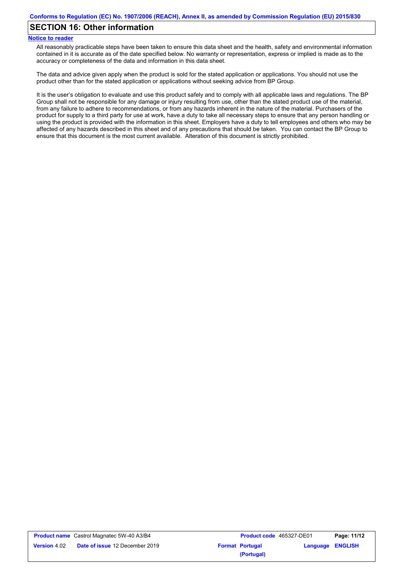## **SECTION 16: Other information**

### **Notice to reader**

All reasonably practicable steps have been taken to ensure this data sheet and the health, safety and environmental information contained in it is accurate as of the date specified below. No warranty or representation, express or implied is made as to the accuracy or completeness of the data and information in this data sheet.

The data and advice given apply when the product is sold for the stated application or applications. You should not use the product other than for the stated application or applications without seeking advice from BP Group.

It is the user's obligation to evaluate and use this product safely and to comply with all applicable laws and regulations. The BP Group shall not be responsible for any damage or injury resulting from use, other than the stated product use of the material, from any failure to adhere to recommendations, or from any hazards inherent in the nature of the material. Purchasers of the product for supply to a third party for use at work, have a duty to take all necessary steps to ensure that any person handling or using the product is provided with the information in this sheet. Employers have a duty to tell employees and others who may be affected of any hazards described in this sheet and of any precautions that should be taken. You can contact the BP Group to ensure that this document is the most current available. Alteration of this document is strictly prohibited.